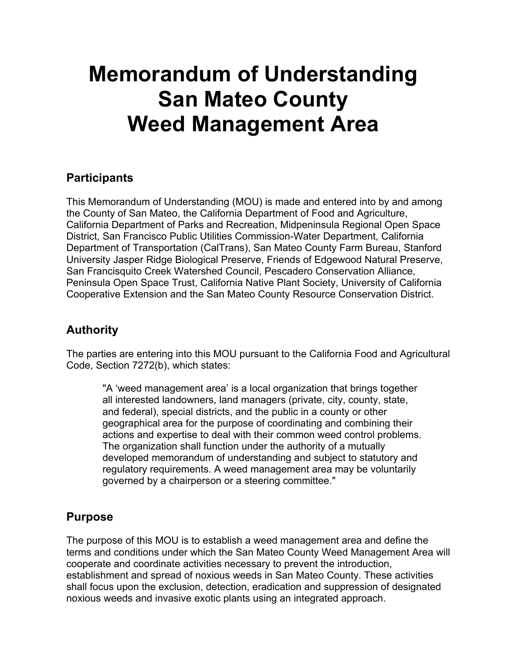# **Memorandum of Understanding San Mateo County Weed Management Area**

## **Participants**

This Memorandum of Understanding (MOU) is made and entered into by and among the County of San Mateo, the California Department of Food and Agriculture, California Department of Parks and Recreation, Midpeninsula Regional Open Space District, San Francisco Public Utilities Commission-Water Department, California Department of Transportation (CalTrans), San Mateo County Farm Bureau, Stanford University Jasper Ridge Biological Preserve, Friends of Edgewood Natural Preserve, San Francisquito Creek Watershed Council, Pescadero Conservation Alliance, Peninsula Open Space Trust, California Native Plant Society, University of California Cooperative Extension and the San Mateo County Resource Conservation District.

# **Authority**

The parties are entering into this MOU pursuant to the California Food and Agricultural Code, Section 7272(b), which states:

"A 'weed management area' is a local organization that brings together all interested landowners, land managers (private, city, county, state, and federal), special districts, and the public in a county or other geographical area for the purpose of coordinating and combining their actions and expertise to deal with their common weed control problems. The organization shall function under the authority of a mutually developed memorandum of understanding and subject to statutory and regulatory requirements. A weed management area may be voluntarily governed by a chairperson or a steering committee."

# **Purpose**

The purpose of this MOU is to establish a weed management area and define the terms and conditions under which the San Mateo County Weed Management Area will cooperate and coordinate activities necessary to prevent the introduction, establishment and spread of noxious weeds in San Mateo County. These activities shall focus upon the exclusion, detection, eradication and suppression of designated noxious weeds and invasive exotic plants using an integrated approach.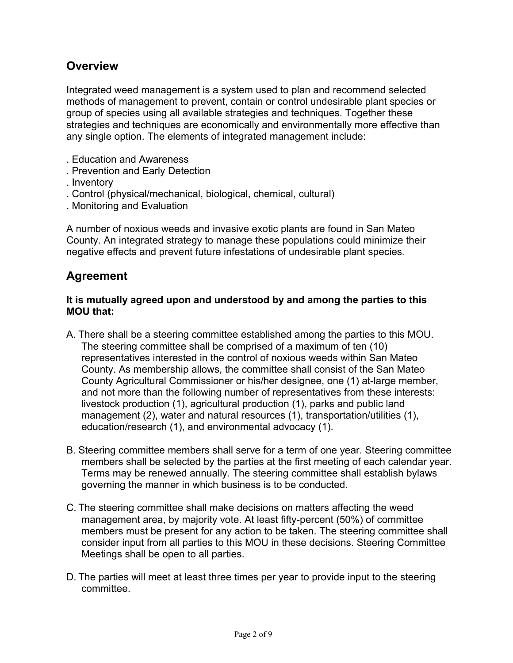# **Overview**

Integrated weed management is a system used to plan and recommend selected methods of management to prevent, contain or control undesirable plant species or group of species using all available strategies and techniques. Together these strategies and techniques are economically and environmentally more effective than any single option. The elements of integrated management include:

- . Education and Awareness
- . Prevention and Early Detection
- . Inventory
- . Control (physical/mechanical, biological, chemical, cultural)
- . Monitoring and Evaluation

A number of noxious weeds and invasive exotic plants are found in San Mateo County. An integrated strategy to manage these populations could minimize their negative effects and prevent future infestations of undesirable plant species.

# **Agreement**

#### **It is mutually agreed upon and understood by and among the parties to this MOU that:**

- A. There shall be a steering committee established among the parties to this MOU. The steering committee shall be comprised of a maximum of ten (10) representatives interested in the control of noxious weeds within San Mateo County. As membership allows, the committee shall consist of the San Mateo County Agricultural Commissioner or his/her designee, one (1) at-large member, and not more than the following number of representatives from these interests: livestock production (1), agricultural production (1), parks and public land management (2), water and natural resources (1), transportation/utilities (1), education/research (1), and environmental advocacy (1).
- B. Steering committee members shall serve for a term of one year. Steering committee members shall be selected by the parties at the first meeting of each calendar year. Terms may be renewed annually. The steering committee shall establish bylaws governing the manner in which business is to be conducted.
- C. The steering committee shall make decisions on matters affecting the weed management area, by majority vote. At least fifty-percent (50%) of committee members must be present for any action to be taken. The steering committee shall consider input from all parties to this MOU in these decisions. Steering Committee Meetings shall be open to all parties.
- D. The parties will meet at least three times per year to provide input to the steering committee.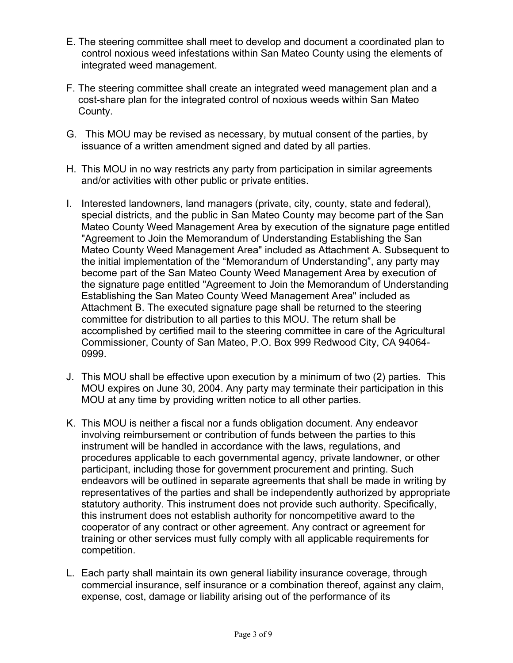- E. The steering committee shall meet to develop and document a coordinated plan to control noxious weed infestations within San Mateo County using the elements of integrated weed management.
- F. The steering committee shall create an integrated weed management plan and a cost-share plan for the integrated control of noxious weeds within San Mateo County.
- G. This MOU may be revised as necessary, by mutual consent of the parties, by issuance of a written amendment signed and dated by all parties.
- H. This MOU in no way restricts any party from participation in similar agreements and/or activities with other public or private entities.
- I. Interested landowners, land managers (private, city, county, state and federal), special districts, and the public in San Mateo County may become part of the San Mateo County Weed Management Area by execution of the signature page entitled "Agreement to Join the Memorandum of Understanding Establishing the San Mateo County Weed Management Area" included as Attachment A. Subsequent to the initial implementation of the "Memorandum of Understanding", any party may become part of the San Mateo County Weed Management Area by execution of the signature page entitled "Agreement to Join the Memorandum of Understanding Establishing the San Mateo County Weed Management Area" included as Attachment B. The executed signature page shall be returned to the steering committee for distribution to all parties to this MOU. The return shall be accomplished by certified mail to the steering committee in care of the Agricultural Commissioner, County of San Mateo, P.O. Box 999 Redwood City, CA 94064- 0999.
- J. This MOU shall be effective upon execution by a minimum of two (2) parties. This MOU expires on June 30, 2004. Any party may terminate their participation in this MOU at any time by providing written notice to all other parties.
- K. This MOU is neither a fiscal nor a funds obligation document. Any endeavor involving reimbursement or contribution of funds between the parties to this instrument will be handled in accordance with the laws, regulations, and procedures applicable to each governmental agency, private landowner, or other participant, including those for government procurement and printing. Such endeavors will be outlined in separate agreements that shall be made in writing by representatives of the parties and shall be independently authorized by appropriate statutory authority. This instrument does not provide such authority. Specifically, this instrument does not establish authority for noncompetitive award to the cooperator of any contract or other agreement. Any contract or agreement for training or other services must fully comply with all applicable requirements for competition.
- L. Each party shall maintain its own general liability insurance coverage, through commercial insurance, self insurance or a combination thereof, against any claim, expense, cost, damage or liability arising out of the performance of its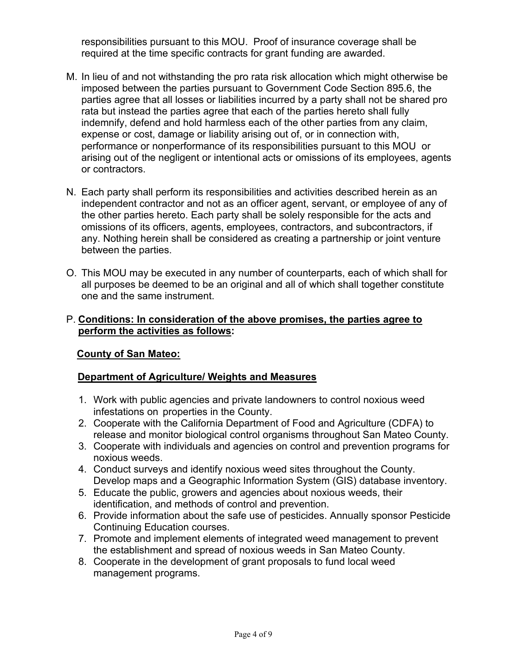responsibilities pursuant to this MOU. Proof of insurance coverage shall be required at the time specific contracts for grant funding are awarded.

- M. In lieu of and not withstanding the pro rata risk allocation which might otherwise be imposed between the parties pursuant to Government Code Section 895.6, the parties agree that all losses or liabilities incurred by a party shall not be shared pro rata but instead the parties agree that each of the parties hereto shall fully indemnify, defend and hold harmless each of the other parties from any claim, expense or cost, damage or liability arising out of, or in connection with, performance or nonperformance of its responsibilities pursuant to this MOU or arising out of the negligent or intentional acts or omissions of its employees, agents or contractors.
- N. Each party shall perform its responsibilities and activities described herein as an independent contractor and not as an officer agent, servant, or employee of any of the other parties hereto. Each party shall be solely responsible for the acts and omissions of its officers, agents, employees, contractors, and subcontractors, if any. Nothing herein shall be considered as creating a partnership or joint venture between the parties.
- O. This MOU may be executed in any number of counterparts, each of which shall for all purposes be deemed to be an original and all of which shall together constitute one and the same instrument.

#### P. **Conditions: In consideration of the above promises, the parties agree to perform the activities as follows:**

#### **County of San Mateo:**

#### **Department of Agriculture/ Weights and Measures**

- 1. Work with public agencies and private landowners to control noxious weed infestations on properties in the County.
- 2. Cooperate with the California Department of Food and Agriculture (CDFA) to release and monitor biological control organisms throughout San Mateo County.
- 3. Cooperate with individuals and agencies on control and prevention programs for noxious weeds.
- 4. Conduct surveys and identify noxious weed sites throughout the County. Develop maps and a Geographic Information System (GIS) database inventory.
- 5. Educate the public, growers and agencies about noxious weeds, their identification, and methods of control and prevention.
- 6. Provide information about the safe use of pesticides. Annually sponsor Pesticide Continuing Education courses.
- 7. Promote and implement elements of integrated weed management to prevent the establishment and spread of noxious weeds in San Mateo County.
- 8. Cooperate in the development of grant proposals to fund local weed management programs.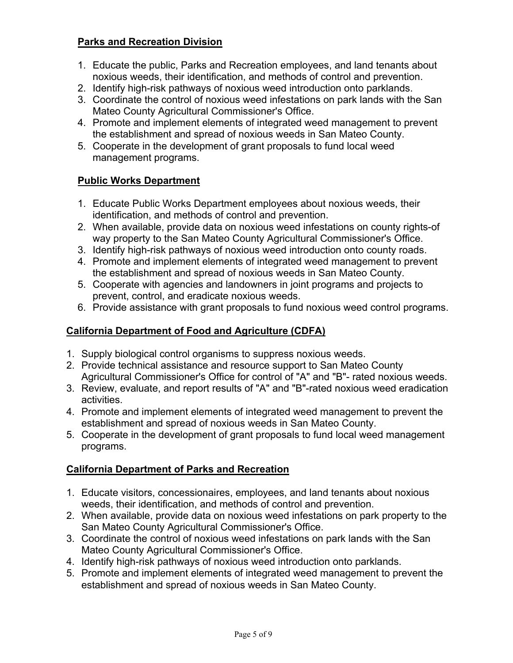#### **Parks and Recreation Division**

- 1. Educate the public, Parks and Recreation employees, and land tenants about noxious weeds, their identification, and methods of control and prevention.
- 2. Identify high-risk pathways of noxious weed introduction onto parklands.
- 3. Coordinate the control of noxious weed infestations on park lands with the San Mateo County Agricultural Commissioner's Office.
- 4. Promote and implement elements of integrated weed management to prevent the establishment and spread of noxious weeds in San Mateo County.
- 5. Cooperate in the development of grant proposals to fund local weed management programs.

#### **Public Works Department**

- 1. Educate Public Works Department employees about noxious weeds, their identification, and methods of control and prevention.
- 2. When available, provide data on noxious weed infestations on county rights-of way property to the San Mateo County Agricultural Commissioner's Office.
- 3. Identify high-risk pathways of noxious weed introduction onto county roads.
- 4. Promote and implement elements of integrated weed management to prevent the establishment and spread of noxious weeds in San Mateo County.
- 5. Cooperate with agencies and landowners in joint programs and projects to prevent, control, and eradicate noxious weeds.
- 6. Provide assistance with grant proposals to fund noxious weed control programs.

#### **California Department of Food and Agriculture (CDFA)**

- 1. Supply biological control organisms to suppress noxious weeds.
- 2. Provide technical assistance and resource support to San Mateo County Agricultural Commissioner's Office for control of "A" and "B"- rated noxious weeds.
- 3. Review, evaluate, and report results of "A" and "B"-rated noxious weed eradication activities.
- 4. Promote and implement elements of integrated weed management to prevent the establishment and spread of noxious weeds in San Mateo County.
- 5. Cooperate in the development of grant proposals to fund local weed management programs.

#### **California Department of Parks and Recreation**

- 1. Educate visitors, concessionaires, employees, and land tenants about noxious weeds, their identification, and methods of control and prevention.
- 2. When available, provide data on noxious weed infestations on park property to the San Mateo County Agricultural Commissioner's Office.
- 3. Coordinate the control of noxious weed infestations on park lands with the San Mateo County Agricultural Commissioner's Office.
- 4. Identify high-risk pathways of noxious weed introduction onto parklands.
- 5. Promote and implement elements of integrated weed management to prevent the establishment and spread of noxious weeds in San Mateo County.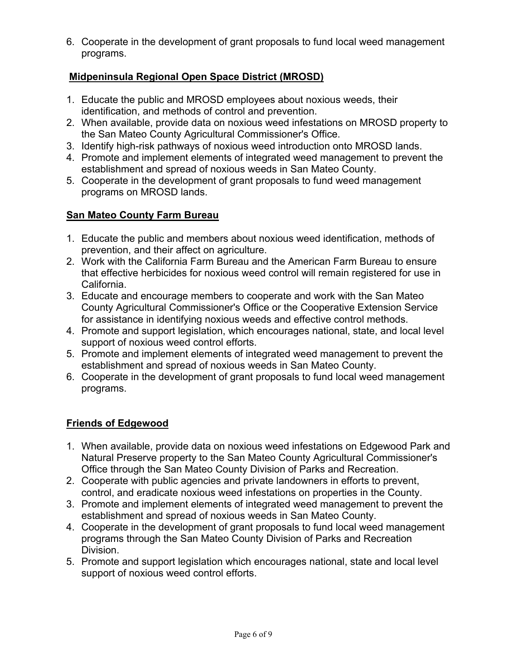6. Cooperate in the development of grant proposals to fund local weed management programs.

#### **Midpeninsula Regional Open Space District (MROSD)**

- 1. Educate the public and MROSD employees about noxious weeds, their identification, and methods of control and prevention.
- 2. When available, provide data on noxious weed infestations on MROSD property to the San Mateo County Agricultural Commissioner's Office.
- 3. Identify high-risk pathways of noxious weed introduction onto MROSD lands.
- 4. Promote and implement elements of integrated weed management to prevent the establishment and spread of noxious weeds in San Mateo County.
- 5. Cooperate in the development of grant proposals to fund weed management programs on MROSD lands.

#### **San Mateo County Farm Bureau**

- 1. Educate the public and members about noxious weed identification, methods of prevention, and their affect on agriculture.
- 2. Work with the California Farm Bureau and the American Farm Bureau to ensure that effective herbicides for noxious weed control will remain registered for use in California.
- 3. Educate and encourage members to cooperate and work with the San Mateo County Agricultural Commissioner's Office or the Cooperative Extension Service for assistance in identifying noxious weeds and effective control methods.
- 4. Promote and support legislation, which encourages national, state, and local level support of noxious weed control efforts.
- 5. Promote and implement elements of integrated weed management to prevent the establishment and spread of noxious weeds in San Mateo County.
- 6. Cooperate in the development of grant proposals to fund local weed management programs.

## **Friends of Edgewood**

- 1. When available, provide data on noxious weed infestations on Edgewood Park and Natural Preserve property to the San Mateo County Agricultural Commissioner's Office through the San Mateo County Division of Parks and Recreation.
- 2. Cooperate with public agencies and private landowners in efforts to prevent, control, and eradicate noxious weed infestations on properties in the County.
- 3. Promote and implement elements of integrated weed management to prevent the establishment and spread of noxious weeds in San Mateo County.
- 4. Cooperate in the development of grant proposals to fund local weed management programs through the San Mateo County Division of Parks and Recreation Division.
- 5. Promote and support legislation which encourages national, state and local level support of noxious weed control efforts.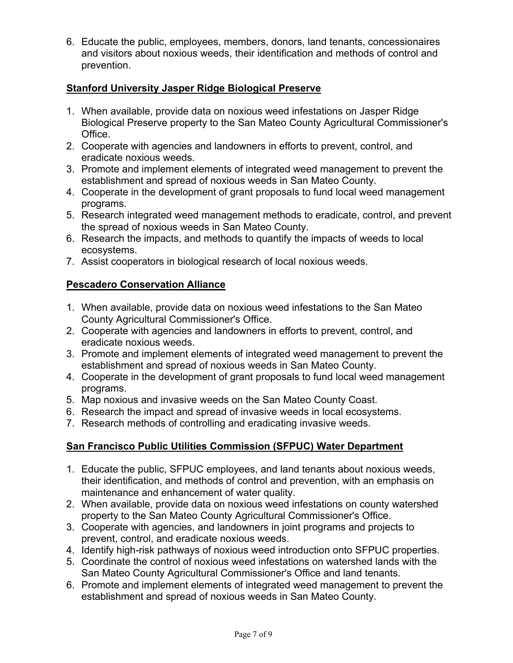6. Educate the public, employees, members, donors, land tenants, concessionaires and visitors about noxious weeds, their identification and methods of control and prevention.

#### **Stanford University Jasper Ridge Biological Preserve**

- 1. When available, provide data on noxious weed infestations on Jasper Ridge Biological Preserve property to the San Mateo County Agricultural Commissioner's Office.
- 2. Cooperate with agencies and landowners in efforts to prevent, control, and eradicate noxious weeds.
- 3. Promote and implement elements of integrated weed management to prevent the establishment and spread of noxious weeds in San Mateo County.
- 4. Cooperate in the development of grant proposals to fund local weed management programs.
- 5. Research integrated weed management methods to eradicate, control, and prevent the spread of noxious weeds in San Mateo County.
- 6. Research the impacts, and methods to quantify the impacts of weeds to local ecosystems.
- 7. Assist cooperators in biological research of local noxious weeds.

#### **Pescadero Conservation Alliance**

- 1. When available, provide data on noxious weed infestations to the San Mateo County Agricultural Commissioner's Office.
- 2. Cooperate with agencies and landowners in efforts to prevent, control, and eradicate noxious weeds.
- 3. Promote and implement elements of integrated weed management to prevent the establishment and spread of noxious weeds in San Mateo County.
- 4. Cooperate in the development of grant proposals to fund local weed management programs.
- 5. Map noxious and invasive weeds on the San Mateo County Coast.
- 6. Research the impact and spread of invasive weeds in local ecosystems.
- 7. Research methods of controlling and eradicating invasive weeds.

## **San Francisco Public Utilities Commission (SFPUC) Water Department**

- 1. Educate the public, SFPUC employees, and land tenants about noxious weeds, their identification, and methods of control and prevention, with an emphasis on maintenance and enhancement of water quality.
- 2. When available, provide data on noxious weed infestations on county watershed property to the San Mateo County Agricultural Commissioner's Office.
- 3. Cooperate with agencies, and landowners in joint programs and projects to prevent, control, and eradicate noxious weeds.
- 4. Identify high-risk pathways of noxious weed introduction onto SFPUC properties.
- 5. Coordinate the control of noxious weed infestations on watershed lands with the San Mateo County Agricultural Commissioner's Office and land tenants.
- 6. Promote and implement elements of integrated weed management to prevent the establishment and spread of noxious weeds in San Mateo County.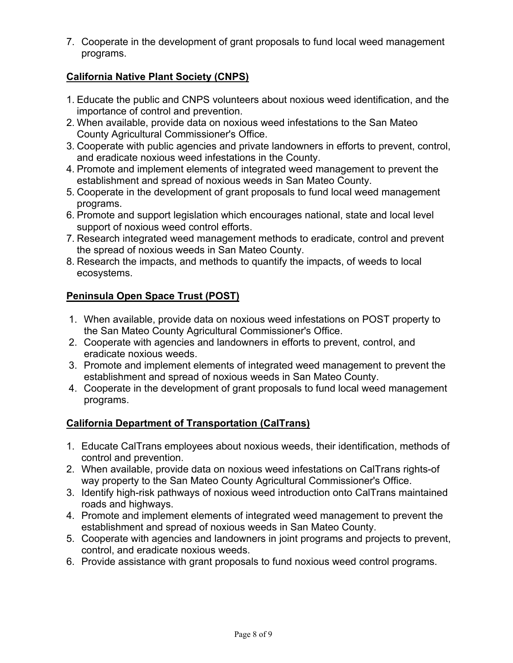7. Cooperate in the development of grant proposals to fund local weed management programs.

#### **California Native Plant Society (CNPS)**

- 1. Educate the public and CNPS volunteers about noxious weed identification, and the importance of control and prevention.
- 2. When available, provide data on noxious weed infestations to the San Mateo County Agricultural Commissioner's Office.
- 3. Cooperate with public agencies and private landowners in efforts to prevent, control, and eradicate noxious weed infestations in the County.
- 4. Promote and implement elements of integrated weed management to prevent the establishment and spread of noxious weeds in San Mateo County.
- 5. Cooperate in the development of grant proposals to fund local weed management programs.
- 6. Promote and support legislation which encourages national, state and local level support of noxious weed control efforts.
- 7. Research integrated weed management methods to eradicate, control and prevent the spread of noxious weeds in San Mateo County.
- 8. Research the impacts, and methods to quantify the impacts, of weeds to local ecosystems.

## **Peninsula Open Space Trust (POST)**

- 1. When available, provide data on noxious weed infestations on POST property to the San Mateo County Agricultural Commissioner's Office.
- 2. Cooperate with agencies and landowners in efforts to prevent, control, and eradicate noxious weeds.
- 3. Promote and implement elements of integrated weed management to prevent the establishment and spread of noxious weeds in San Mateo County.
- 4. Cooperate in the development of grant proposals to fund local weed management programs.

## **California Department of Transportation (CalTrans)**

- 1. Educate CalTrans employees about noxious weeds, their identification, methods of control and prevention.
- 2. When available, provide data on noxious weed infestations on CalTrans rights-of way property to the San Mateo County Agricultural Commissioner's Office.
- 3. Identify high-risk pathways of noxious weed introduction onto CalTrans maintained roads and highways.
- 4. Promote and implement elements of integrated weed management to prevent the establishment and spread of noxious weeds in San Mateo County.
- 5. Cooperate with agencies and landowners in joint programs and projects to prevent, control, and eradicate noxious weeds.
- 6. Provide assistance with grant proposals to fund noxious weed control programs.